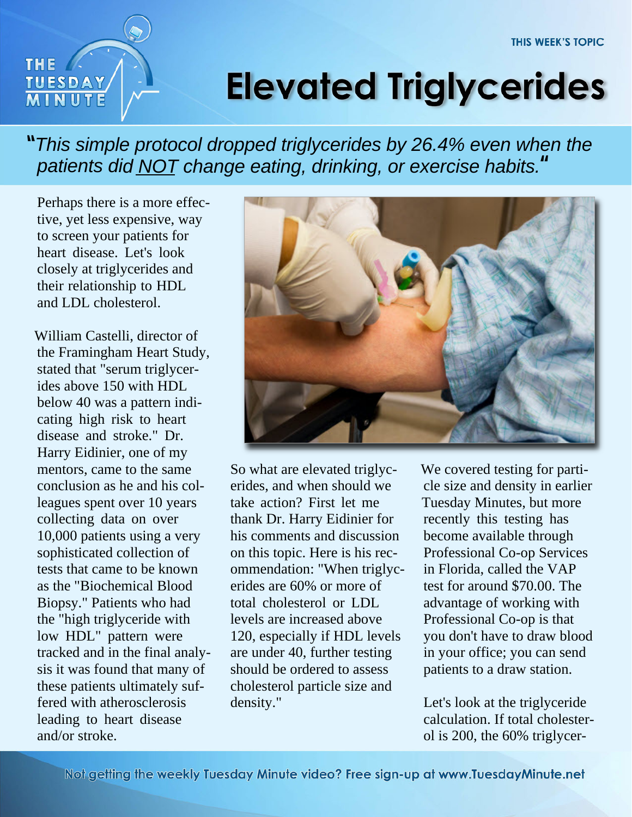

## **Elevated Triglycerides**

*This simple protocol dropped triglycerides by 26.4% even when the* **"***patients did NOT change eating, drinking, or exercise habits.* **"**

Perhaps there is a more effective, yet less expensive, way to screen your patients for heart disease. Let's look closely at triglycerides and their relationship to HDL and LDL cholesterol.

William Castelli, director of the Framingham Heart Study, stated that "serum triglycerides above 150 with HDL below 40 was a pattern indicating high risk to heart disease and stroke." Dr. Harry Eidinier, one of my mentors, came to the same conclusion as he and his colleagues spent over 10 years collecting data on over 10,000 patients using a very sophisticated collection of tests that came to be known as the "Biochemical Blood Biopsy." Patients who had the "high triglyceride with low HDL" pattern were tracked and in the final analysis it was found that many of these patients ultimately suffered with atherosclerosis leading to heart disease and/or stroke.



So what are elevated triglycerides, and when should we take action? First let me thank Dr. Harry Eidinier for his comments and discussion on this topic. Here is his recommendation: "When triglycerides are 60% or more of total cholesterol or LDL levels are increased above 120, especially if HDL levels are under 40, further testing should be ordered to assess cholesterol particle size and density."

We covered testing for particle size and density in earlier Tuesday Minutes, but more recently this testing has become available through Professional Co-op Services in Florida, called the VAP test for around \$70.00. The advantage of working with Professional Co-op is that you don't have to draw blood in your office; you can send patients to a draw station.

Let's look at the triglyceride calculation. If total cholesterol is 200, the 60% triglycer-